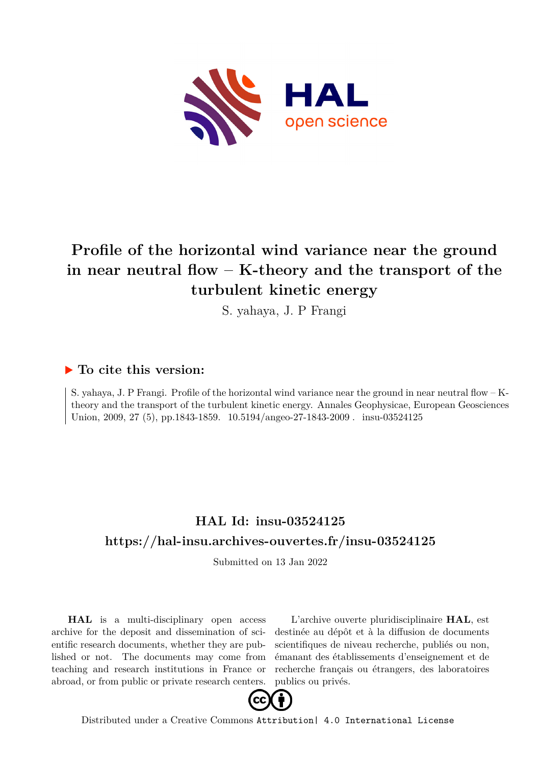

# **Profile of the horizontal wind variance near the ground in near neutral flow – K-theory and the transport of the turbulent kinetic energy**

S. yahaya, J. P Frangi

# **To cite this version:**

S. yahaya, J. P Frangi. Profile of the horizontal wind variance near the ground in near neutral flow – Ktheory and the transport of the turbulent kinetic energy. Annales Geophysicae, European Geosciences Union, 2009, 27 (5), pp.1843-1859.  $10.5194/{\rm{angeo-27-1843-2009}}$ . insu-03524125

# **HAL Id: insu-03524125 <https://hal-insu.archives-ouvertes.fr/insu-03524125>**

Submitted on 13 Jan 2022

**HAL** is a multi-disciplinary open access archive for the deposit and dissemination of scientific research documents, whether they are published or not. The documents may come from teaching and research institutions in France or abroad, or from public or private research centers.

L'archive ouverte pluridisciplinaire **HAL**, est destinée au dépôt et à la diffusion de documents scientifiques de niveau recherche, publiés ou non, émanant des établissements d'enseignement et de recherche français ou étrangers, des laboratoires publics ou privés.



Distributed under a Creative Commons [Attribution| 4.0 International License](http://creativecommons.org/licenses/by/4.0/)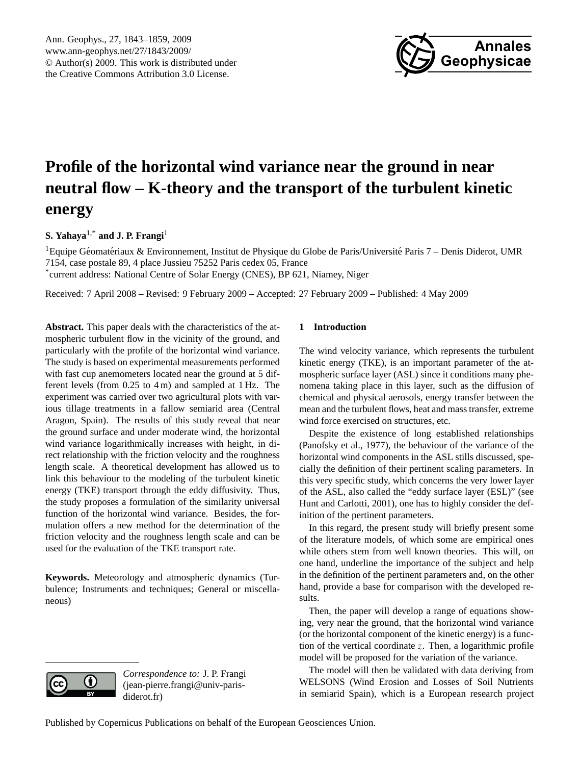

# **Profile of the horizontal wind variance near the ground in near neutral flow – K-theory and the transport of the turbulent kinetic energy**

# **S. Yahaya**1,\* **and J. P. Frangi**<sup>1</sup>

<sup>1</sup> Equipe Géomatériaux & Environnement, Institut de Physique du Globe de Paris/Université Paris 7 – Denis Diderot, UMR 7154, case postale 89, 4 place Jussieu 75252 Paris cedex 05, France \* current address: National Centre of Solar Energy (CNES), BP 621, Niamey, Niger

Received: 7 April 2008 – Revised: 9 February 2009 – Accepted: 27 February 2009 – Published: 4 May 2009

**Abstract.** This paper deals with the characteristics of the atmospheric turbulent flow in the vicinity of the ground, and particularly with the profile of the horizontal wind variance. The study is based on experimental measurements performed with fast cup anemometers located near the ground at 5 different levels (from 0.25 to 4 m) and sampled at 1 Hz. The experiment was carried over two agricultural plots with various tillage treatments in a fallow semiarid area (Central Aragon, Spain). The results of this study reveal that near the ground surface and under moderate wind, the horizontal wind variance logarithmically increases with height, in direct relationship with the friction velocity and the roughness length scale. A theoretical development has allowed us to link this behaviour to the modeling of the turbulent kinetic energy (TKE) transport through the eddy diffusivity. Thus, the study proposes a formulation of the similarity universal function of the horizontal wind variance. Besides, the formulation offers a new method for the determination of the friction velocity and the roughness length scale and can be used for the evaluation of the TKE transport rate.

**Keywords.** Meteorology and atmospheric dynamics (Turbulence; Instruments and techniques; General or miscellaneous)

# **1 Introduction**

The wind velocity variance, which represents the turbulent kinetic energy (TKE), is an important parameter of the atmospheric surface layer (ASL) since it conditions many phenomena taking place in this layer, such as the diffusion of chemical and physical aerosols, energy transfer between the mean and the turbulent flows, heat and mass transfer, extreme wind force exercised on structures, etc.

Despite the existence of long established relationships (Panofsky et al., 1977), the behaviour of the variance of the horizontal wind components in the ASL stills discussed, specially the definition of their pertinent scaling parameters. In this very specific study, which concerns the very lower layer of the ASL, also called the "eddy surface layer (ESL)" (see Hunt and Carlotti, 2001), one has to highly consider the definition of the pertinent parameters.

In this regard, the present study will briefly present some of the literature models, of which some are empirical ones while others stem from well known theories. This will, on one hand, underline the importance of the subject and help in the definition of the pertinent parameters and, on the other hand, provide a base for comparison with the developed results.

Then, the paper will develop a range of equations showing, very near the ground, that the horizontal wind variance (or the horizontal component of the kinetic energy) is a function of the vertical coordinate z. Then, a logarithmic profile model will be proposed for the variation of the variance.

The model will then be validated with data deriving from WELSONS (Wind Erosion and Losses of Soil Nutrients in semiarid Spain), which is a European research project



*Correspondence to:* J. P. Frangi (jean-pierre.frangi@univ-parisdiderot.fr)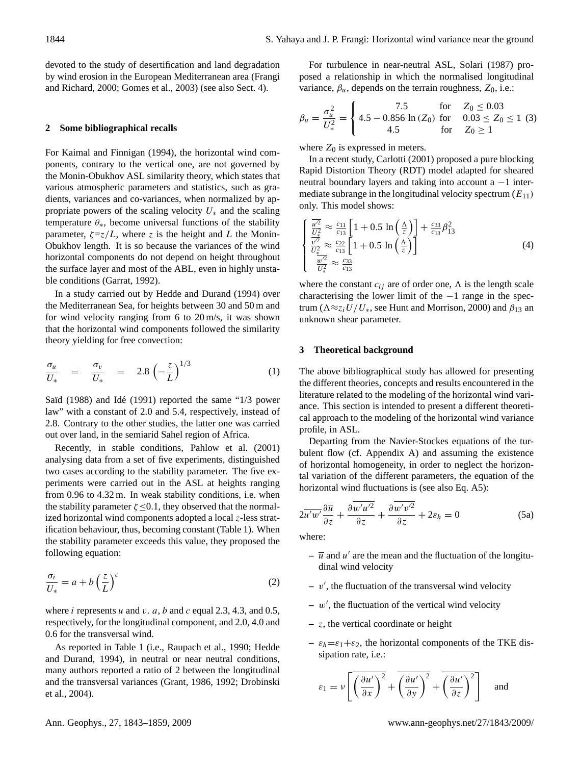devoted to the study of desertification and land degradation by wind erosion in the European Mediterranean area (Frangi and Richard, 2000; Gomes et al., 2003) (see also Sect. 4).

#### **2 Some bibliographical recalls**

For Kaimal and Finnigan (1994), the horizontal wind components, contrary to the vertical one, are not governed by the Monin-Obukhov ASL similarity theory, which states that various atmospheric parameters and statistics, such as gradients, variances and co-variances, when normalized by appropriate powers of the scaling velocity  $U_*$  and the scaling temperature  $\theta_*$ , become universal functions of the stability parameter,  $\zeta = z/L$ , where z is the height and L the Monin-Obukhov length. It is so because the variances of the wind horizontal components do not depend on height throughout the surface layer and most of the ABL, even in highly unstable conditions (Garrat, 1992).

In a study carried out by Hedde and Durand (1994) over the Mediterranean Sea, for heights between 30 and 50 m and for wind velocity ranging from 6 to 20 m/s, it was shown that the horizontal wind components followed the similarity theory yielding for free convection:

$$
\frac{\sigma_u}{U_*} = \frac{\sigma_v}{U_*} = 2.8 \left( -\frac{z}{L} \right)^{1/3} \tag{1}
$$

Saïd (1988) and Idé (1991) reported the same "1/3 power law" with a constant of 2.0 and 5.4, respectively, instead of 2.8. Contrary to the other studies, the latter one was carried out over land, in the semiarid Sahel region of Africa.

Recently, in stable conditions, Pahlow et al. (2001) analysing data from a set of five experiments, distinguished two cases according to the stability parameter. The five experiments were carried out in the ASL at heights ranging from 0.96 to 4.32 m. In weak stability conditions, i.e. when the stability parameter  $\zeta \leq 0.1$ , they observed that the normalized horizontal wind components adopted a local z-less stratification behaviour, thus, becoming constant (Table 1). When the stability parameter exceeds this value, they proposed the following equation:

$$
\frac{\sigma_i}{U_*} = a + b \left(\frac{z}{L}\right)^c \tag{2}
$$

where i represents u and v. a, b and c equal 2.3, 4.3, and 0.5, respectively, for the longitudinal component, and 2.0, 4.0 and 0.6 for the transversal wind.

As reported in Table 1 (i.e., Raupach et al., 1990; Hedde and Durand, 1994), in neutral or near neutral conditions, many authors reported a ratio of 2 between the longitudinal and the transversal variances (Grant, 1986, 1992; Drobinski et al., 2004).

For turbulence in near-neutral ASL, Solari (1987) proposed a relationship in which the normalised longitudinal variance,  $\beta_u$ , depends on the terrain roughness,  $Z_0$ , i.e.:

$$
\beta_u = \frac{\sigma_u^2}{U_*^2} = \begin{cases}\n7.5 & \text{for} \quad Z_0 \le 0.03 \\
4.5 - 0.856 \ln(Z_0) & \text{for} \quad 0.03 \le Z_0 \le 1 \tag{3} \\
4.5 & \text{for} \quad Z_0 \ge 1\n\end{cases}
$$

where  $Z_0$  is expressed in meters.

In a recent study, Carlotti (2001) proposed a pure blocking Rapid Distortion Theory (RDT) model adapted for sheared neutral boundary layers and taking into account a −1 intermediate subrange in the longitudinal velocity spectrum  $(E_{11})$ only. This model shows:

$$
\begin{cases}\n\frac{\overline{u'^2}}{U_s^2} \approx \frac{c_{11}}{c_{13}} \left[ 1 + 0.5 \ln \left( \frac{\Delta}{z} \right) \right] + \frac{c_{33}}{c_{13}} \beta_{13}^2 \\
\frac{\overline{v'^2}}{U_s^2} \approx \frac{c_{22}}{c_{13}} \left[ 1 + 0.5 \ln \left( \frac{\Delta}{z} \right) \right]\n\end{cases}
$$
\n(4)

where the constant  $c_{ij}$  are of order one,  $\Lambda$  is the length scale characterising the lower limit of the −1 range in the spectrum ( $\Lambda \approx z_i U/U_*$ , see Hunt and Morrison, 2000) and  $\beta_{13}$  an unknown shear parameter.

## **3 Theoretical background**

The above bibliographical study has allowed for presenting the different theories, concepts and results encountered in the literature related to the modeling of the horizontal wind variance. This section is intended to present a different theoretical approach to the modeling of the horizontal wind variance profile, in ASL.

Departing from the Navier-Stockes equations of the turbulent flow (cf. Appendix A) and assuming the existence of horizontal homogeneity, in order to neglect the horizontal variation of the different parameters, the equation of the horizontal wind fluctuations is (see also Eq. A5):

$$
2\overline{u'w'}\frac{\partial \overline{u}}{\partial z} + \frac{\partial \overline{w'u'^2}}{\partial z} + \frac{\partial \overline{w'v'^2}}{\partial z} + 2\varepsilon_h = 0
$$
 (5a)

where:

- $-\overline{u}$  and u' are the mean and the fluctuation of the longitudinal wind velocity
- $v'$ , the fluctuation of the transversal wind velocity
- $w'$ , the fluctuation of the vertical wind velocity
- **–** z, the vertical coordinate or height
- $-\varepsilon_h = \varepsilon_1 + \varepsilon_2$ , the horizontal components of the TKE dissipation rate, i.e.:

$$
\varepsilon_1 = \nu \left[ \overline{\left( \frac{\partial u'}{\partial x} \right)^2} + \overline{\left( \frac{\partial u'}{\partial y} \right)^2} + \overline{\left( \frac{\partial u'}{\partial z} \right)^2} \right] \quad \text{and}
$$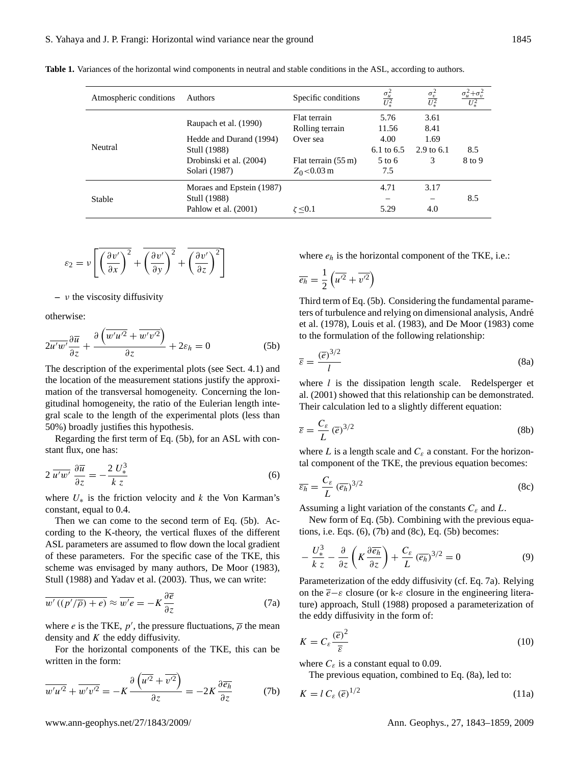**Table 1.** Variances of the horizontal wind components in neutral and stable conditions in the ASL, according to authors.

| Atmospheric conditions | Authors                   | Specific conditions             | $\frac{\sigma_u^2}{U_*^2}$ | $\frac{\sigma_v^2}{U_*^2}$ |        |
|------------------------|---------------------------|---------------------------------|----------------------------|----------------------------|--------|
|                        | Raupach et al. (1990)     | Flat terrain<br>Rolling terrain | 5.76<br>11.56              | 3.61<br>8.41               |        |
|                        | Hedde and Durand (1994)   | Over sea                        | 4.00                       | 1.69                       |        |
| Neutral                | Stull (1988)              |                                 | 6.1 to $6.5$               | 2.9 to 6.1                 | 8.5    |
|                        | Drobinski et al. (2004)   | Flat terrain $(55 \text{ m})$   | $5 \text{ to } 6$          | 3                          | 8 to 9 |
|                        | Solari (1987)             | $Z_0$ < 0.03 m                  | 7.5                        |                            |        |
|                        | Moraes and Epstein (1987) |                                 | 4.71                       | 3.17                       |        |
| Stable                 | Stull (1988)              |                                 |                            |                            | 8.5    |
|                        | Pahlow et al. (2001)      | $\zeta > 0.1$                   | 5.29                       | 4.0                        |        |

$$
\varepsilon_2 = \nu \left[ \overline{\left( \frac{\partial v'}{\partial x} \right)^2} + \overline{\left( \frac{\partial v'}{\partial y} \right)^2} + \overline{\left( \frac{\partial v'}{\partial z} \right)^2} \right]
$$

**–** ν the viscosity diffusivity

otherwise:

$$
2\overline{u'w'}\frac{\partial \overline{u}}{\partial z} + \frac{\partial \left(\overline{w'u'^2} + \overline{w'v'^2}\right)}{\partial z} + 2\varepsilon_h = 0
$$
 (5b)

The description of the experimental plots (see Sect. 4.1) and the location of the measurement stations justify the approximation of the transversal homogeneity. Concerning the longitudinal homogeneity, the ratio of the Eulerian length integral scale to the length of the experimental plots (less than 50%) broadly justifies this hypothesis.

Regarding the first term of Eq. (5b), for an ASL with constant flux, one has:

$$
2\,\overline{u'w'}\,\frac{\partial\overline{u}}{\partial z} = -\frac{2\,U_*^3}{k\,z} \tag{6}
$$

where  $U_*$  is the friction velocity and k the Von Karman's constant, equal to 0.4.

Then we can come to the second term of Eq. (5b). According to the K-theory, the vertical fluxes of the different ASL parameters are assumed to flow down the local gradient of these parameters. For the specific case of the TKE, this scheme was envisaged by many authors, De Moor (1983), Stull (1988) and Yadav et al. (2003). Thus, we can write:

$$
\overline{w'((p'/\overline{\rho})+e)} \approx \overline{w'e} = -K\frac{\partial \overline{e}}{\partial z}
$$
 (7a)

where *e* is the TKE,  $p'$ , the pressure fluctuations,  $\overline{\rho}$  the mean density and  $K$  the eddy diffusivity.

For the horizontal components of the TKE, this can be written in the form:

$$
\overline{w'u'^2} + \overline{w'v'^2} = -K \frac{\partial \left(\overline{u'^2} + \overline{v'^2}\right)}{\partial z} = -2K \frac{\partial \overline{e_h}}{\partial z}
$$
 (7b)

where  $e_h$  is the horizontal component of the TKE, i.e.:

$$
\overline{e_h} = \frac{1}{2} \left( \overline{u'^2} + \overline{v'^2} \right)
$$

Third term of Eq. (5b). Considering the fundamental parameters of turbulence and relying on dimensional analysis, André et al. (1978), Louis et al. (1983), and De Moor (1983) come to the formulation of the following relationship:

$$
\overline{\varepsilon} = \frac{(\overline{e})^{3/2}}{l} \tag{8a}
$$

where  $l$  is the dissipation length scale. Redelsperger et al. (2001) showed that this relationship can be demonstrated. Their calculation led to a slightly different equation:

$$
\overline{\varepsilon} = \frac{C_{\varepsilon}}{L} \left(\overline{e}\right)^{3/2} \tag{8b}
$$

where L is a length scale and  $C_{\varepsilon}$  a constant. For the horizontal component of the TKE, the previous equation becomes:

$$
\overline{\varepsilon_h} = \frac{C_{\varepsilon}}{L} \left(\overline{e_h}\right)^{3/2} \tag{8c}
$$

Assuming a light variation of the constants  $C_{\varepsilon}$  and L.

New form of Eq. (5b). Combining with the previous equations, i.e. Eqs.  $(6)$ ,  $(7b)$  and  $(8c)$ , Eq.  $(5b)$  becomes:

$$
-\frac{U_{*}^{3}}{k z} - \frac{\partial}{\partial z} \left( K \frac{\partial \overline{e_h}}{\partial z} \right) + \frac{C_{\varepsilon}}{L} (\overline{e_h})^{3/2} = 0
$$
 (9)

Parameterization of the eddy diffusivity (cf. Eq. 7a). Relying on the  $\bar{e}-\varepsilon$  closure (or k- $\varepsilon$  closure in the engineering literature) approach, Stull (1988) proposed a parameterization of the eddy diffusivity in the form of:

$$
K = C_{\varepsilon} \frac{(\overline{e})^2}{\overline{\varepsilon}} \tag{10}
$$

where  $C_{\varepsilon}$  is a constant equal to 0.09.

The previous equation, combined to Eq. (8a), led to:

$$
K = l C_{\varepsilon} (\overline{e})^{1/2}
$$
 (11a)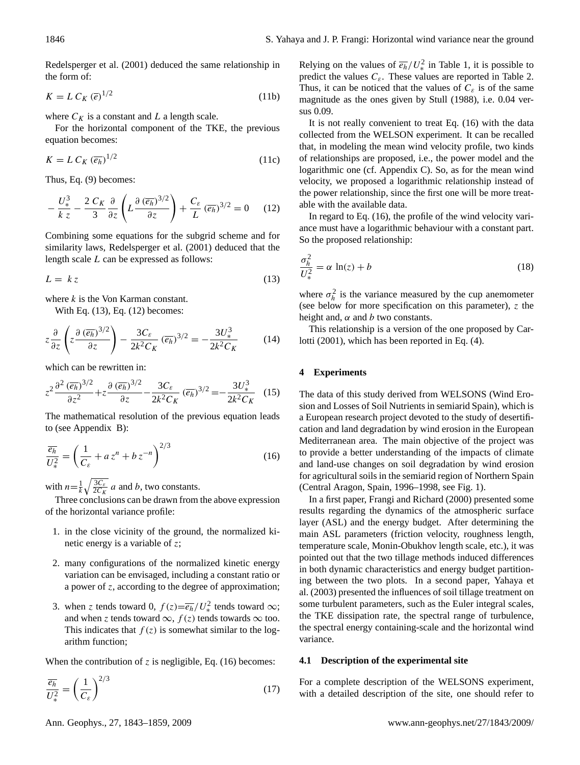Redelsperger et al. (2001) deduced the same relationship in the form of:

$$
K = L C_K \left(\overline{e}\right)^{1/2} \tag{11b}
$$

where  $C_K$  is a constant and L a length scale.

For the horizontal component of the TKE, the previous equation becomes:

$$
K = L C_K \left(\overline{e_h}\right)^{1/2} \tag{11c}
$$

Thus, Eq. (9) becomes:

$$
-\frac{U_{*}^{3}}{k z} - \frac{2 C_{K}}{3} \frac{\partial}{\partial z} \left( L \frac{\partial (\overline{e_{h}})^{3/2}}{\partial z} \right) + \frac{C_{\varepsilon}}{L} (\overline{e_{h}})^{3/2} = 0 \quad (12)
$$

Combining some equations for the subgrid scheme and for similarity laws, Redelsperger et al. (2001) deduced that the length scale L can be expressed as follows:

$$
L = k z \tag{13}
$$

where  $k$  is the Von Karman constant.

With Eq. (13), Eq. (12) becomes:

$$
z\frac{\partial}{\partial z}\left(z\frac{\partial(\overline{e_h})^{3/2}}{\partial z}\right) - \frac{3C_{\varepsilon}}{2k^2C_K}(\overline{e_h})^{3/2} = -\frac{3U_*^3}{2k^2C_K} \tag{14}
$$

which can be rewritten in:

$$
z^2 \frac{\partial^2 (\overline{e_h})^{3/2}}{\partial z^2} + z \frac{\partial (\overline{e_h})^{3/2}}{\partial z} - \frac{3C_{\varepsilon}}{2k^2 C_K} (\overline{e_h})^{3/2} = -\frac{3U_*^3}{2k^2 C_K} \quad (15)
$$

The mathematical resolution of the previous equation leads to (see Appendix B):

$$
\frac{\overline{e_h}}{U_*^2} = \left(\frac{1}{C_{\varepsilon}} + a z^n + b z^{-n}\right)^{2/3}
$$
(16)

with  $n=\frac{1}{k}\sqrt{\frac{3C_{\varepsilon}}{2C_K}}$  a and b, two constants.

Three conclusions can be drawn from the above expression of the horizontal variance profile:

- 1. in the close vicinity of the ground, the normalized kinetic energy is a variable of z;
- 2. many configurations of the normalized kinetic energy variation can be envisaged, including a constant ratio or a power of z, according to the degree of approximation;
- 3. when z tends toward 0,  $f(z) = \overline{e_h}/U_*^2$  tends toward  $\infty$ ; and when z tends toward  $\infty$ ,  $f(z)$  tends towards  $\infty$  too. This indicates that  $f(z)$  is somewhat similar to the logarithm function;

When the contribution of z is negligible, Eq.  $(16)$  becomes:

$$
\frac{\overline{e_h}}{U_*^2} = \left(\frac{1}{C_{\varepsilon}}\right)^{2/3} \tag{17}
$$

Relying on the values of  $\overline{e_h}/U_*^2$  in Table 1, it is possible to predict the values  $C_{\varepsilon}$ . These values are reported in Table 2. Thus, it can be noticed that the values of  $C_{\varepsilon}$  is of the same magnitude as the ones given by Stull (1988), i.e. 0.04 versus 0.09.

It is not really convenient to treat Eq. (16) with the data collected from the WELSON experiment. It can be recalled that, in modeling the mean wind velocity profile, two kinds of relationships are proposed, i.e., the power model and the logarithmic one (cf. Appendix C). So, as for the mean wind velocity, we proposed a logarithmic relationship instead of the power relationship, since the first one will be more treatable with the available data.

In regard to Eq. (16), the profile of the wind velocity variance must have a logarithmic behaviour with a constant part. So the proposed relationship:

$$
\frac{\sigma_h^2}{U_*^2} = \alpha \, \ln(z) + b \tag{18}
$$

where  $\sigma_h^2$  is the variance measured by the cup anemometer (see below for more specification on this parameter),  $z$  the height and,  $\alpha$  and  $b$  two constants.

This relationship is a version of the one proposed by Carlotti (2001), which has been reported in Eq. (4).

## **4 Experiments**

The data of this study derived from WELSONS (Wind Erosion and Losses of Soil Nutrients in semiarid Spain), which is a European research project devoted to the study of desertification and land degradation by wind erosion in the European Mediterranean area. The main objective of the project was to provide a better understanding of the impacts of climate and land-use changes on soil degradation by wind erosion for agricultural soils in the semiarid region of Northern Spain (Central Aragon, Spain, 1996–1998, see Fig. 1).

In a first paper, Frangi and Richard (2000) presented some results regarding the dynamics of the atmospheric surface layer (ASL) and the energy budget. After determining the main ASL parameters (friction velocity, roughness length, temperature scale, Monin-Obukhov length scale, etc.), it was pointed out that the two tillage methods induced differences in both dynamic characteristics and energy budget partitioning between the two plots. In a second paper, Yahaya et al. (2003) presented the influences of soil tillage treatment on some turbulent parameters, such as the Euler integral scales, the TKE dissipation rate, the spectral range of turbulence, the spectral energy containing-scale and the horizontal wind variance.

## **4.1 Description of the experimental site**

For a complete description of the WELSONS experiment, with a detailed description of the site, one should refer to

Ann. Geophys., 27, 1843–1859, 2009 www.ann-geophys.net/27/1843/2009/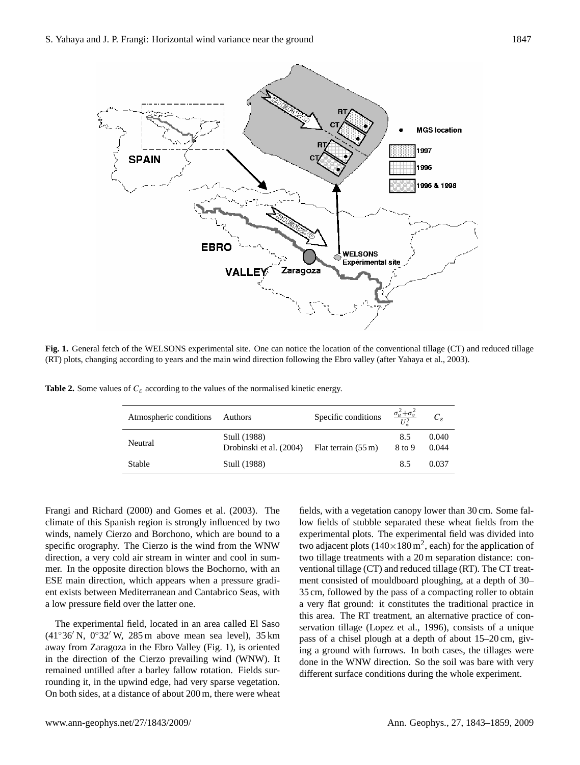

Fig. 1. General fetch of the WELSONS experimental site. One can notice the location of the conventional tillage (CT) and reduced tillage the main wind direction following the Ebro valley (After **Yahaya et al., 2003**). (RT) plots, changing according to years and the main wind direction following the Ebro valley (after Yahaya et al., 2003).

**Table 2.** Some values of  $C_{\varepsilon}$  according to the values of the normalised kinetic energy.

| Atmospheric conditions | Authors                                 | Specific conditions           | $\frac{\sigma_u^2 + \sigma_v^2}{I^2}$ | $C_{\varepsilon}$ |
|------------------------|-----------------------------------------|-------------------------------|---------------------------------------|-------------------|
| Neutral                | Stull (1988)<br>Drobinski et al. (2004) | Flat terrain $(55 \text{ m})$ | 8.5<br>8 to 9                         | 0.040<br>0.044    |
| Stable                 | Stull (1988)                            |                               | 8.5                                   | 0.037             |

Frangi and Richard (2000) and Gomes et al. (2003). The climate of this Spanish region is strongly influenced by two winds, namely Cierzo and Borchono, which are bound to a specific orography. The Cierzo is the wind from the WNW direction, a very cold air stream in winter and cool in summer. In the opposite direction blows the Bochorno, with an ESE main direction, which appears when a pressure gradient exists between Mediterranean and Cantabrico Seas, with a low pressure field over the latter one.

On both sides, at a distance of about 200 m, there were wheat The experimental field, located in an area called El Saso  $(41°36' N, 0°32' W, 285 m$  above mean sea level), 35 km away from Zaragoza in the Ebro Valley (Fig. 1), is oriented in the direction of the Cierzo prevailing wind (WNW). It remained untilled after a barley fallow rotation. Fields surrounding it, in the upwind edge, had very sparse vegetation.

fields, with a vegetation canopy lower than 30 cm. Some fallow fields of stubble separated these wheat fields from the experimental plots. The experimental field was divided into two adjacent plots  $(140 \times 180 \text{ m}^2, \text{each})$  for the application of two tillage treatments with a 20 m separation distance: conventional tillage (CT) and reduced tillage (RT). The CT treatment consisted of mouldboard ploughing, at a depth of 30– 35 cm, followed by the pass of a compacting roller to obtain a very flat ground: it constitutes the traditional practice in this area. The RT treatment, an alternative practice of conservation tillage (Lopez et al., 1996), consists of a unique pass of a chisel plough at a depth of about 15–20 cm, giving a ground with furrows. In both cases, the tillages were done in the WNW direction. So the soil was bare with very different surface conditions during the whole experiment.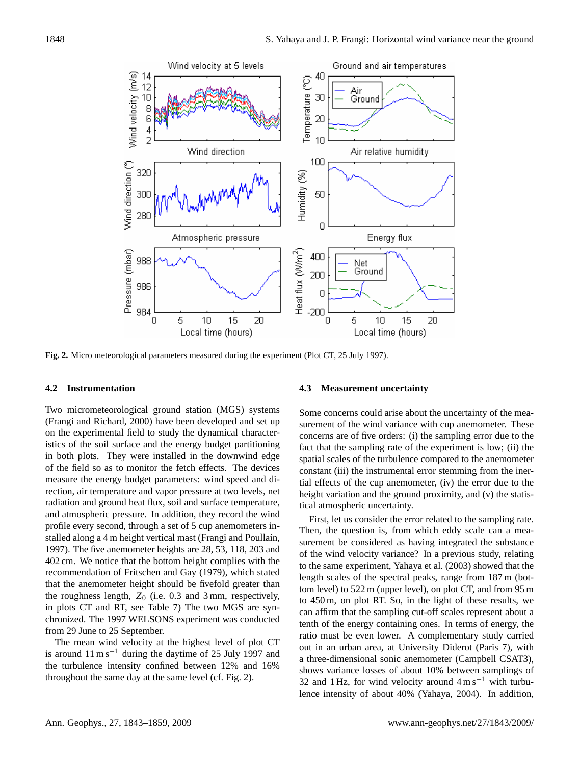

Fig. 2. Micro meteorological parameters measured during the experiment (Plot CT, 25 July 1997).

### **4.2 Instrumentation**

Two micrometeorological ground station (MGS) systems S (Frangi and Richard, 2000) have been developed and set up on the experimental field to study the dynamical characteristics of the soil surface and the energy budget partitioning in both plots. They were installed in the downwind edge of the field so as to monitor the fetch effects. The devices measure the energy budget parameters: wind speed and direction, air temperature and vapor pressure at two levels, net radiation and ground heat flux, soil and surface temperature, and atmospheric pressure. In addition, they record the wind profile every second, through a set of 5 cup anemometers installed along a 4 m height vertical mast (Frangi and Poullain, 1997). The five anemometer heights are 28, 53, 118, 203 and 402 cm. We notice that the bottom height complies with the recommendation of Fritschen and Gay (1979), which stated that the anemometer height should be fivefold greater than the roughness length,  $Z_0$  (i.e. 0.3 and 3 mm, respectively, in plots CT and RT, see Table 7) The two MGS are synchronized. The 1997 WELSONS experiment was conducted from 29 June to 25 September.

The mean wind velocity at the highest level of plot CT is around  $11 \text{ m s}^{-1}$  during the daytime of 25 July 1997 and the turbulence intensity confined between 12% and 16% throughout the same day at the same level (cf. Fig. 2).

# **4.3 Measurement uncertainty**

Some concerns could arise about the uncertainty of the measurement of the wind variance with cup anemometer. These concerns are of five orders: (i) the sampling error due to the fact that the sampling rate of the experiment is low; (ii) the spatial scales of the turbulence compared to the anemometer constant (iii) the instrumental error stemming from the inertial effects of the cup anemometer, (iv) the error due to the height variation and the ground proximity, and (v) the statistical atmospheric uncertainty.

First, let us consider the error related to the sampling rate. Then, the question is, from which eddy scale can a measurement be considered as having integrated the substance of the wind velocity variance? In a previous study, relating to the same experiment, Yahaya et al. (2003) showed that the length scales of the spectral peaks, range from 187 m (bottom level) to 522 m (upper level), on plot CT, and from 95 m to 450 m, on plot RT. So, in the light of these results, we can affirm that the sampling cut-off scales represent about a tenth of the energy containing ones. In terms of energy, the ratio must be even lower. A complementary study carried out in an urban area, at University Diderot (Paris 7), with a three-dimensional sonic anemometer (Campbell CSAT3), shows variance losses of about 10% between samplings of 32 and 1 Hz, for wind velocity around  $4 \text{ m s}^{-1}$  with turbulence intensity of about 40% (Yahaya, 2004). In addition,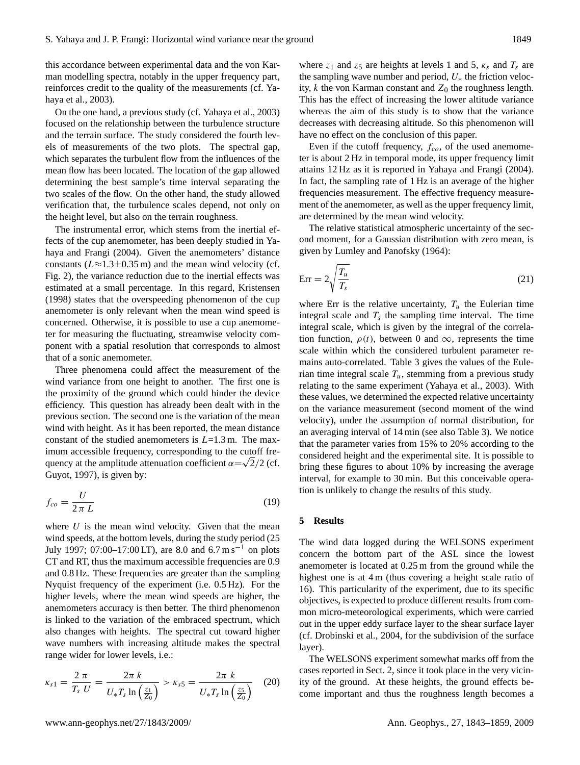this accordance between experimental data and the von Karman modelling spectra, notably in the upper frequency part, reinforces credit to the quality of the measurements (cf. Yahaya et al., 2003).

On the one hand, a previous study (cf. Yahaya et al., 2003) focused on the relationship between the turbulence structure and the terrain surface. The study considered the fourth levels of measurements of the two plots. The spectral gap, which separates the turbulent flow from the influences of the mean flow has been located. The location of the gap allowed determining the best sample's time interval separating the two scales of the flow. On the other hand, the study allowed verification that, the turbulence scales depend, not only on the height level, but also on the terrain roughness.

The instrumental error, which stems from the inertial effects of the cup anemometer, has been deeply studied in Yahaya and Frangi (2004). Given the anemometers' distance constants ( $L \approx 1.3 \pm 0.35$  m) and the mean wind velocity (cf. Fig. 2), the variance reduction due to the inertial effects was estimated at a small percentage. In this regard, Kristensen (1998) states that the overspeeding phenomenon of the cup anemometer is only relevant when the mean wind speed is concerned. Otherwise, it is possible to use a cup anemometer for measuring the fluctuating, streamwise velocity component with a spatial resolution that corresponds to almost that of a sonic anemometer.

Three phenomena could affect the measurement of the wind variance from one height to another. The first one is the proximity of the ground which could hinder the device efficiency. This question has already been dealt with in the previous section. The second one is the variation of the mean wind with height. As it has been reported, the mean distance constant of the studied anemometers is  $L=1.3$  m. The maximum accessible frequency, corresponding to the cutoff frequency at the amplitude attenuation coefficient  $\alpha = \sqrt{2}/2$  (cf. Guyot, 1997), is given by:

$$
f_{co} = \frac{U}{2\pi L} \tag{19}
$$

where  $U$  is the mean wind velocity. Given that the mean wind speeds, at the bottom levels, during the study period (25 July 1997; 07:00–17:00 LT), are 8.0 and  $6.7 \text{ m s}^{-1}$  on plots CT and RT, thus the maximum accessible frequencies are 0.9 and 0.8 Hz. These frequencies are greater than the sampling Nyquist frequency of the experiment (i.e. 0.5 Hz). For the higher levels, where the mean wind speeds are higher, the anemometers accuracy is then better. The third phenomenon is linked to the variation of the embraced spectrum, which also changes with heights. The spectral cut toward higher wave numbers with increasing altitude makes the spectral range wider for lower levels, i.e.:

$$
\kappa_{s1} = \frac{2 \pi}{T_s U} = \frac{2 \pi k}{U_* T_s \ln\left(\frac{z_1}{Z_0}\right)} > \kappa_{s5} = \frac{2 \pi k}{U_* T_s \ln\left(\frac{z_5}{Z_0}\right)} \quad (20)
$$

where  $z_1$  and  $z_5$  are heights at levels 1 and 5,  $\kappa_s$  and  $T_s$  are the sampling wave number and period,  $U_*$  the friction velocity, k the von Karman constant and  $Z_0$  the roughness length. This has the effect of increasing the lower altitude variance whereas the aim of this study is to show that the variance decreases with decreasing altitude. So this phenomenon will have no effect on the conclusion of this paper.

Even if the cutoff frequency,  $f_{co}$ , of the used anemometer is about 2 Hz in temporal mode, its upper frequency limit attains 12 Hz as it is reported in Yahaya and Frangi (2004). In fact, the sampling rate of 1 Hz is an average of the higher frequencies measurement. The effective frequency measurement of the anemometer, as well as the upper frequency limit, are determined by the mean wind velocity.

The relative statistical atmospheric uncertainty of the second moment, for a Gaussian distribution with zero mean, is given by Lumley and Panofsky (1964):

$$
Err = 2\sqrt{\frac{T_u}{T_s}}
$$
 (21)

where Err is the relative uncertainty,  $T_u$  the Eulerian time integral scale and  $T_s$  the sampling time interval. The time integral scale, which is given by the integral of the correlation function,  $\rho(t)$ , between 0 and  $\infty$ , represents the time scale within which the considered turbulent parameter remains auto-correlated. Table 3 gives the values of the Eulerian time integral scale  $T_u$ , stemming from a previous study relating to the same experiment (Yahaya et al., 2003). With these values, we determined the expected relative uncertainty on the variance measurement (second moment of the wind velocity), under the assumption of normal distribution, for an averaging interval of 14 min (see also Table 3). We notice that the parameter varies from 15% to 20% according to the considered height and the experimental site. It is possible to bring these figures to about 10% by increasing the average interval, for example to 30 min. But this conceivable operation is unlikely to change the results of this study.

#### **5 Results**

The wind data logged during the WELSONS experiment concern the bottom part of the ASL since the lowest anemometer is located at 0.25 m from the ground while the highest one is at 4 m (thus covering a height scale ratio of 16). This particularity of the experiment, due to its specific objectives, is expected to produce different results from common micro-meteorological experiments, which were carried out in the upper eddy surface layer to the shear surface layer (cf. Drobinski et al., 2004, for the subdivision of the surface layer).

The WELSONS experiment somewhat marks off from the cases reported in Sect. 2, since it took place in the very vicinity of the ground. At these heights, the ground effects become important and thus the roughness length becomes a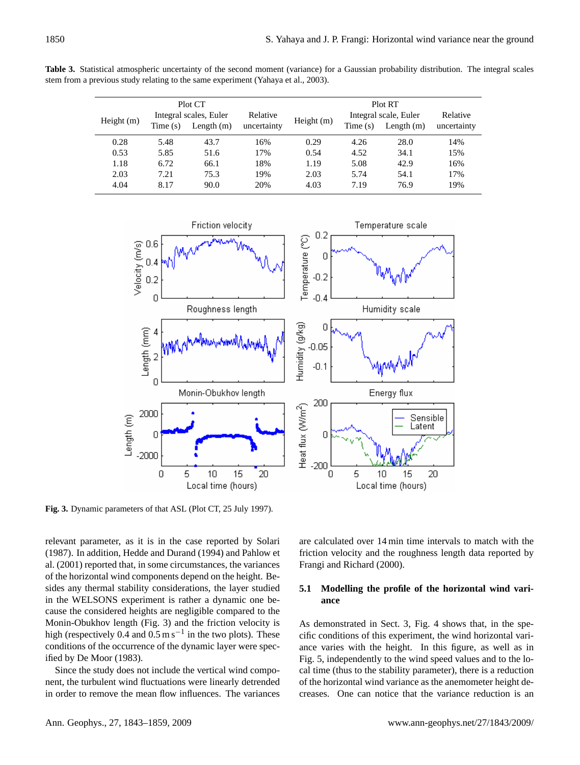**Table 3.** Statistical atmospheric uncertainty of the second moment (variance) for a Gaussian probability distribution. The integral scales stem from a previous study relating to the same experiment (Yahaya et al., 2003).

|              |                        | Plot CT      |             |              |                       | Plot RT      |             |
|--------------|------------------------|--------------|-------------|--------------|-----------------------|--------------|-------------|
|              | Integral scales, Euler |              | Relative    |              | Integral scale, Euler | Relative     |             |
| Height $(m)$ | Time(s)                | Length $(m)$ | uncertainty | Height $(m)$ | Time(s)               | Length $(m)$ | uncertainty |
| 0.28         | 5.48                   | 43.7         | 16%         | 0.29         | 4.26                  | 28.0         | 14%         |
| 0.53         | 5.85                   | 51.6         | 17%         | 0.54         | 4.52                  | 34.1         | 15%         |
| 1.18         | 6.72                   | 66.1         | 18%         | 1.19         | 5.08                  | 42.9         | 16%         |
| 2.03         | 7.21                   | 75.3         | 19%         | 2.03         | 5.74                  | 54.1         | 17%         |
| 4.04         | 8.17                   | 90.0         | 20%         | 4.03         | 7.19                  | 76.9         | 19%         |



Fig. 3. Dynamic parameters of that ASL (Plot CT, 25 July 1997).

ified by De Moor (1983). Monin-Obukhov length (Fig. 3) and the friction velocity is relevant parameter, as it is in the case reported by Solari (1987). In addition, Hedde and Durand (1994) and Pahlow et al. (2001) reported that, in some circumstances, the variances of the horizontal wind components depend on the height. Besides any thermal stability considerations, the layer studied in the WELSONS experiment is rather a dynamic one because the considered heights are negligible compared to the high (respectively 0.4 and  $0.5 \text{ m s}^{-1}$  in the two plots). These conditions of the occurrence of the dynamic layer were spec-

in order to remove the mean flow influences. The variances Since the study does not include the vertical wind component, the turbulent wind fluctuations were linearly detrended are calculated over 14 min time intervals to match with the friction velocity and the roughness length data reported by Frangi and Richard (2000).

# **5.1 Modelling the profile of the horizontal wind variance**

Fig. 5, independently to the wind speed values and to the local time (thus to the stability parameter), there is a reduction of the horizontal wind variance as the anemometer height decreases. One can notice that the variance reduction is an As demonstrated in Sect. 3, Fig. 4 shows that, in the specific conditions of this experiment, the wind horizontal variance varies with the height. In this figure, as well as in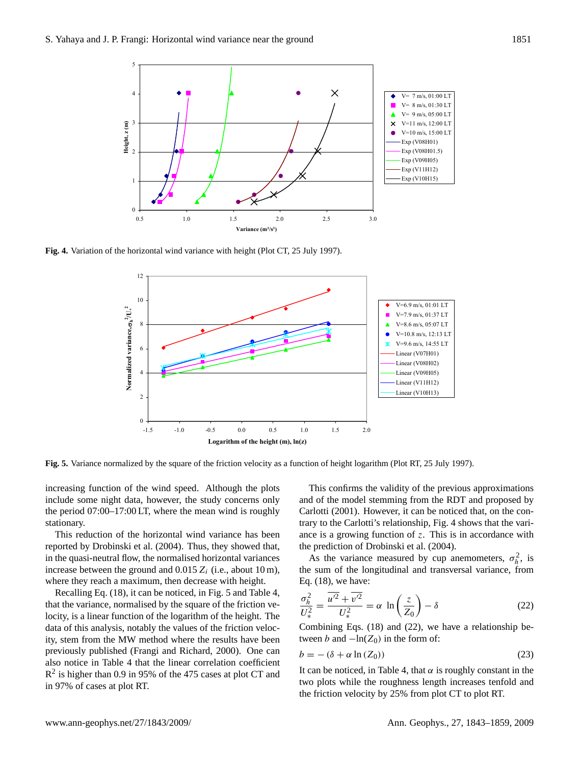

Fig. 4. Variation of the horizontal wind variance with height (Plot CT, 25 July 1997).



Fig. 5. Variance normalized by the square of the friction velocity as a function of height logarithm (Plot RT, 25 July 1997).

increasing function of the wind speed. Although the plots include some night data, however, the study concerns only the period 07:00–17:00 LT, where the mean wind is roughly stationary.

This reduction of the horizontal wind variance has been reported by Drobinski et al. (2004). Thus, they showed that, in the quasi-neutral flow, the normalised horizontal variances increase between the ground and 0.015  $Z_i$  (i.e., about 10 m), where they reach a maximum, then decrease with height.

locity, is a linear function of the logarithm of the height. The tably the values of the frictio in 97% of cases at plot RT. also notice in Table 4 that the linear correlation coefficient previously published (Frangi and Richard, 2000). One can Recalling Eq. (18), it can be noticed, in Fig. 5 and Table 4, also notice in Table 4 that the linear correlation coefficient  $R^2$  is higher than 0.9 in 95% of the 475 cases at plot CT and data of this analysis, notably the values of the friction velocity, stem from the MW method where the results have been<br>previously published (Frangi and Richard, 2000). One can that the variance, normalised by the square of the friction veity, stem from the MW method where the results have been

This confirms the validity of the previous approximations and of the model stemming from the RDT and proposed by Carlotti (2001). However, it can be noticed that, on the contrary to the Carlotti's relationship, Fig. 4 shows that the variance is a growing function of  $z$ . This is in accordance with the prediction of Drobinski et al. (2004).

As the variance measured by cup anemometers,  $\sigma_h^2$ , is the sum of the longitudinal and transversal variance, from Eq. (18), we have:

$$
\frac{\sigma_h^2}{U_*^2} = \frac{\overline{u'^2} + \overline{v'^2}}{U_*^2} = \alpha \ln\left(\frac{z}{Z_0}\right) - \delta \tag{22}
$$

Combining Eqs. (18) and (22), we have a relationship between b and  $-\ln(Z_0)$  in the form of:

$$
b = -(\delta + \alpha \ln(Z_0))\tag{23}
$$

It can be noticed, in Table 4, that  $\alpha$  is roughly constant in the two plots while the roughness length increases tenfold and the friction velocity by 25% from plot CT to plot RT.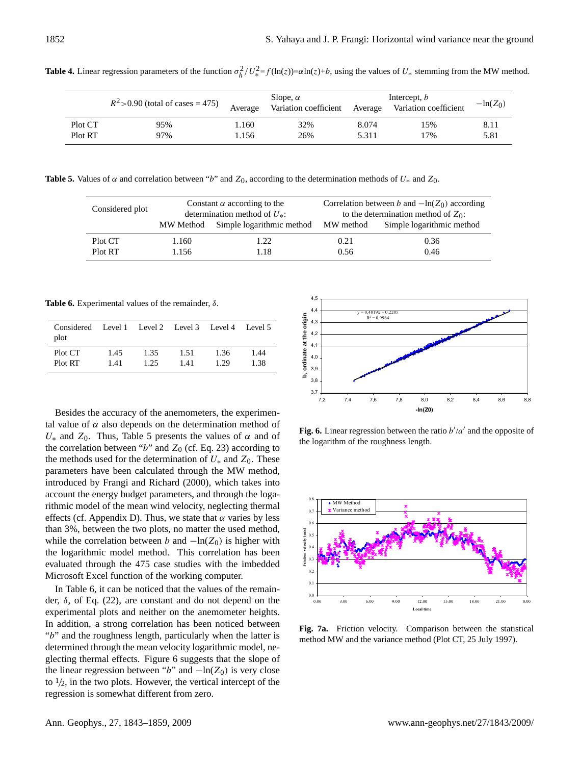| $R^2$ > 0.90 (total of cases = 475) |     | Slope, $\alpha$<br>Average<br>Variation coefficient |     | Intercept, <i>b</i><br>Variation coefficient<br>Average |     | $-\ln(Z_0)$ |
|-------------------------------------|-----|-----------------------------------------------------|-----|---------------------------------------------------------|-----|-------------|
| Plot CT                             | 95% | 1.160                                               | 32% | 8.074                                                   | 15% | 8.11        |
| Plot RT                             | 97% | 1.156                                               | 26% | 5.311                                                   | 17% | 5.81        |

**Table 4.** Linear regression parameters of the function  $\sigma_h^2/U_*^2 = f(\ln(z)) = \alpha \ln(z) + b$ , using the values of  $U_*$  stemming from the MW method.

**Table 5.** Values of  $\alpha$  and correlation between "b" and  $Z_0$ , according to the determination methods of  $U_*$  and  $Z_0$ .

| Considered plot |       | Constant $\alpha$ according to the<br>determination method of $U_*$ : | Correlation between b and $-\ln(Z_0)$ according<br>to the determination method of $Z_0$ : |                           |  |
|-----------------|-------|-----------------------------------------------------------------------|-------------------------------------------------------------------------------------------|---------------------------|--|
|                 |       | MW Method Simple logarithmic method MW method                         |                                                                                           | Simple logarithmic method |  |
| Plot CT         | .160  | 1.22                                                                  | 0.21                                                                                      | 0.36                      |  |
| Plot RT         | 1.156 | .18                                                                   | 0.56                                                                                      | 0.46                      |  |

**Table 6.** Experimental values of the remainder, δ.

| Considered Level 1 Level 2 Level 3 Level 4 Level 5<br>plot |      |      |      |      |      |
|------------------------------------------------------------|------|------|------|------|------|
| Plot CT                                                    | 1.45 | 1.35 | 1.51 | 1.36 | 1.44 |
| Plot RT                                                    | 1.41 | 1.25 | 1.41 | 1.29 | 1.38 |

Besides the accuracy of the anemometers, the experimental value of  $\alpha$  also depends on the determination method of  $U_*$  and  $Z_0$ . Thus, Table 5 presents the values of  $\alpha$  and of the correlation between "b" and  $Z_0$  (cf. Eq. 23) according to the methods used for the determination of  $U_*$  and  $Z_0$ . These parameters have been calculated through the MW method, introduced by Frangi and Richard (2000), which takes into account the energy budget parameters, and through the logarithmic model of the mean wind velocity, neglecting thermal effects (cf. Appendix D). Thus, we state that  $\alpha$  varies by less than 3%, between the two plots, no matter the used method, while the correlation between b and  $-\ln(Z_0)$  is higher with the logarithmic model method. This correlation has been evaluated through the 475 case studies with the imbedded Microsoft Excel function of the working computer.

In Table 6, it can be noticed that the values of the remainder,  $\delta$ , of Eq. (22), are constant and do not depend on the experimental plots and neither on the anemometer heights. In addition, a strong correlation has been noticed between "b" and the roughness length, particularly when the latter is determined through the mean velocity logarithmic model, neglecting thermal effects. Figure 6 suggests that the slope of the linear regression between "b" and  $-\ln(Z_0)$  is very close to  $\frac{1}{2}$ , in the two plots. However, the vertical intercept of the regression is somewhat different from zero.



**Fig. 6.** Linear regression between the ratio  $b'/a'$  and the opposite of the logarithm of the roughness length.



Fig. 7a. Friction velocity. Comparison between the statistical method MW and the variance method (Plot CT, 25 July 1997).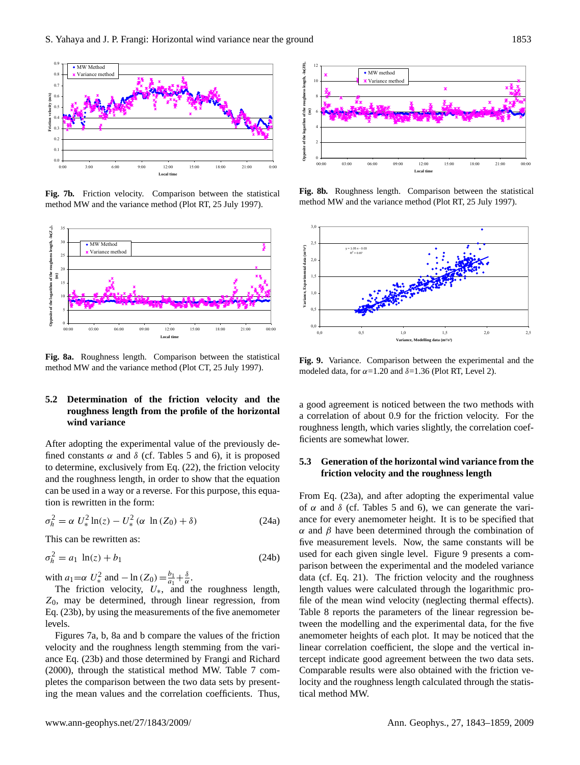

**Fig. 7b.** Friction velocity. Comparison between the statistical method MW and the variance method (Plot RT, 25 July 1997).



Fig. 8a. Roughness length. Comparison between the statistical method MW and the variance method (Plot CT, 25 July 1997).

#### $\mathbf{R}$ **5.2 Determination of the friction velocity and the roughness length from the profile of the horizontal wind variance**

tion is rewritten in the form: and the roughness length, in order to show that the equation to determine, exclusively from Eq. (22), the friction velocity fined constants  $\alpha$  and  $\delta$  (cf. Tables 5 and 6), it is proposed **Opposite the logarity of the roughless length**<br>and relationships a logarity of the rough of the rough of the rough of the rough of the rough of the rough of t<br>and relationships a logarity of the rough of the rough of the After adopting the experimental value of the previously decan be used in a way or a reverse. For this purpose, this equa-

$$
\sigma_h^2 = \alpha U_*^2 \ln(z) - U_*^2 (\alpha \ln(Z_0) + \delta)
$$
 (24a)

This can be rewritten as:

$$
\sigma_h^2 = a_1 \ln(z) + b_1 \tag{24b}
$$

with  $a_1 = \alpha U_*^2$  and  $-\ln(Z_0) = \frac{b_1}{a_1}$  $\frac{b_1}{a_1} + \frac{\delta}{\alpha}$ .

 $Z_0$ , may be determined, through linear regression, from The friction velocity,  $U_*$ , and the roughness length, Eq. (23b), by using the measurements of the five anemometer levels.

Figures 7a, b, 8a and b compare the values of the friction velocity and the roughness length stemming from the variance Eq. (23b) and those determined by Frangi and Richard (2000), through the statistical method MW. Table 7 completes the comparison between the two data sets by presenting the mean values and the correlation coefficients. Thus,



Fig. 8b. Roughness length. Comparison between the statistical method MW and the variance method (Plot RT, 25 July 1997).



**Fig. 9.** Variance. Comparison between the experimental and the modeled data, for  $\alpha = 1.20$  and  $\delta = 1.36$  (Plot RT, Level 2).

a good agreement is noticed between the two methods with a correlation of about 0.9 for the friction velocity. For the roughness length, which varies slightly, the correlation coefficients are somewhat lower.

# **5.3 Generation of the horizontal wind variance from the friction velocity and the roughness length**

file of the mean wind velocity (neglecting thermal effects). From Eq. (23a), and after adopting the experimental value of  $\alpha$  and  $\delta$  (cf. Tables 5 and 6), we can generate the variance for every anemometer height. It is to be specified that  $α$  and  $β$  have been determined through the combination of five measurement levels. Now, the same constants will be used for each given single level. Figure 9 presents a comparison between the experimental and the modeled variance data (cf. Eq. 21). The friction velocity and the roughness length values were calculated through the logarithmic pro-Table 8 reports the parameters of the linear regression between the modelling and the experimental data, for the five anemometer heights of each plot. It may be noticed that the linear correlation coefficient, the slope and the vertical intercept indicate good agreement between the two data sets. Comparable results were also obtained with the friction velocity and the roughness length calculated through the statistical method MW.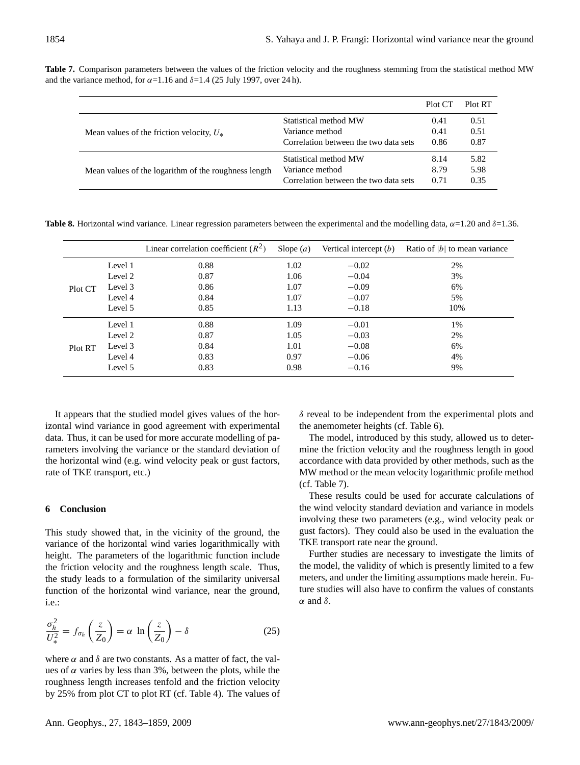|                                                      |                                       | Plot CT | Plot RT |
|------------------------------------------------------|---------------------------------------|---------|---------|
|                                                      | Statistical method MW                 | 0.41    | 0.51    |
| Mean values of the friction velocity, $U_*$          | Variance method                       | 0.41    | 0.51    |
|                                                      | Correlation between the two data sets | 0.86    | 0.87    |
|                                                      | Statistical method MW                 | 8.14    | 5.82    |
| Mean values of the logarithm of the roughness length | Variance method                       | 8.79    | 5.98    |
|                                                      | Correlation between the two data sets | 0.71    | 0.35    |

**Table 7.** Comparison parameters between the values of the friction velocity and the roughness stemming from the statistical method MW and the variance method, for  $\alpha$ =1.16 and  $\delta$ =1.4 (25 July 1997, over 24 h).

**Table 8.** Horizontal wind variance. Linear regression parameters between the experimental and the modelling data,  $\alpha$ =1.20 and  $\delta$ =1.36.

|         |         | Linear correlation coefficient $(R^2)$ | Slope $(a)$ | Vertical intercept $(b)$ | Ratio of $ b $ to mean variance |
|---------|---------|----------------------------------------|-------------|--------------------------|---------------------------------|
|         | Level 1 | 0.88                                   | 1.02        | $-0.02$                  | 2%                              |
|         | Level 2 | 0.87                                   | 1.06        | $-0.04$                  | 3%                              |
| Plot CT | Level 3 | 0.86                                   | 1.07        | $-0.09$                  | 6%                              |
|         | Level 4 | 0.84                                   | 1.07        | $-0.07$                  | 5%                              |
|         | Level 5 | 0.85                                   | 1.13        | $-0.18$                  | 10%                             |
|         | Level 1 | 0.88                                   | 1.09        | $-0.01$                  | 1%                              |
|         | Level 2 | 0.87                                   | 1.05        | $-0.03$                  | 2%                              |
| Plot RT | Level 3 | 0.84                                   | 1.01        | $-0.08$                  | 6%                              |
|         | Level 4 | 0.83                                   | 0.97        | $-0.06$                  | 4%                              |
|         | Level 5 | 0.83                                   | 0.98        | $-0.16$                  | 9%                              |

It appears that the studied model gives values of the horizontal wind variance in good agreement with experimental data. Thus, it can be used for more accurate modelling of parameters involving the variance or the standard deviation of the horizontal wind (e.g. wind velocity peak or gust factors, rate of TKE transport, etc.)

# **6 Conclusion**

This study showed that, in the vicinity of the ground, the variance of the horizontal wind varies logarithmically with height. The parameters of the logarithmic function include the friction velocity and the roughness length scale. Thus, the study leads to a formulation of the similarity universal function of the horizontal wind variance, near the ground, i.e.:

$$
\frac{\sigma_h^2}{U_*^2} = f_{\sigma_h} \left( \frac{z}{Z_0} \right) = \alpha \ln \left( \frac{z}{Z_0} \right) - \delta \tag{25}
$$

where  $\alpha$  and  $\delta$  are two constants. As a matter of fact, the values of  $\alpha$  varies by less than 3%, between the plots, while the roughness length increases tenfold and the friction velocity by 25% from plot CT to plot RT (cf. Table 4). The values of  $\delta$  reveal to be independent from the experimental plots and the anemometer heights (cf. Table 6).

The model, introduced by this study, allowed us to determine the friction velocity and the roughness length in good accordance with data provided by other methods, such as the MW method or the mean velocity logarithmic profile method (cf. Table 7).

These results could be used for accurate calculations of the wind velocity standard deviation and variance in models involving these two parameters (e.g., wind velocity peak or gust factors). They could also be used in the evaluation the TKE transport rate near the ground.

Further studies are necessary to investigate the limits of the model, the validity of which is presently limited to a few meters, and under the limiting assumptions made herein. Future studies will also have to confirm the values of constants  $α$  and  $δ$ .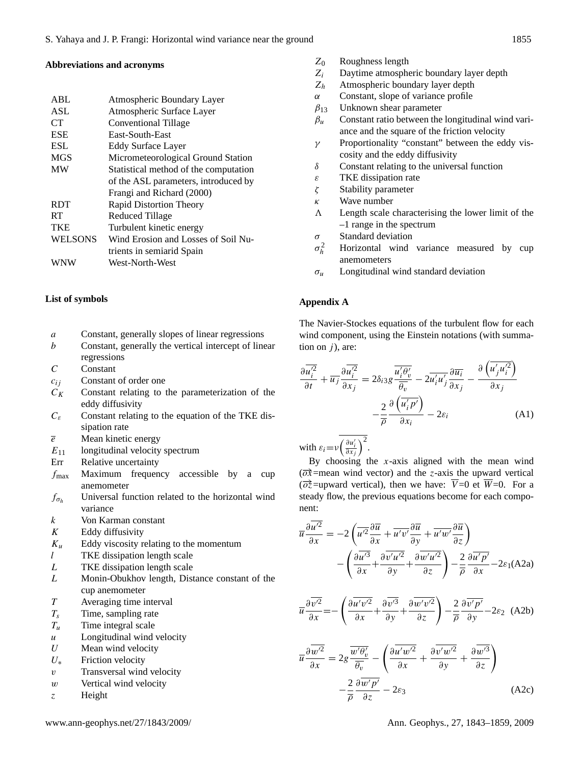# **Abbreviations and acronyms**

| <b>ABL</b>     | Atmospheric Boundary Layer            |
|----------------|---------------------------------------|
| <b>ASL</b>     | Atmospheric Surface Layer             |
| <b>CT</b>      | Conventional Tillage                  |
| <b>ESE</b>     | East-South-East                       |
| <b>ESL</b>     | Eddy Surface Layer                    |
| <b>MGS</b>     | Micrometeorological Ground Station    |
| <b>MW</b>      | Statistical method of the computation |
|                | of the ASL parameters, introduced by  |
|                | Frangi and Richard (2000)             |
| <b>RDT</b>     | Rapid Distortion Theory               |
| <b>RT</b>      | <b>Reduced Tillage</b>                |
| <b>TKE</b>     | Turbulent kinetic energy              |
| <b>WELSONS</b> | Wind Erosion and Losses of Soil Nu-   |
|                | trients in semiarid Spain             |
| WNW            | West-North-West                       |

# **List of symbols**

- a Constant, generally slopes of linear regressions
- b Constant, generally the vertical intercept of linear regressions
- C Constant
- $c_{ij}$  Constant of order one
- $C_K$  Constant relating to the parameterization of the eddy diffusivity
- $C_{\varepsilon}$  Constant relating to the equation of the TKE dissipation rate
- $\overline{e}$  Mean kinetic energy
- $E_{11}$  longitudinal velocity spectrum
- Err Relative uncertainty
- $f_{\text{max}}$  Maximum frequency accessible by a cup anemometer
- $f_{\sigma_h}$  Universal function related to the horizontal wind variance
- k Von Karman constant
- $K$  Eddy diffusivity
- $K_u$  Eddy viscosity relating to the momentum
- l TKE dissipation length scale
- L TKE dissipation length scale
- L Monin-Obukhov length, Distance constant of the cup anemometer
- T Averaging time interval
- $T_s$  Time, sampling rate
- $T_u$  Time integral scale
- $u$  Longitudinal wind velocity
- $U$  Mean wind velocity
- $U_*$  Friction velocity
- v Transversal wind velocity
- $w$  Vertical wind velocity
- z Height
- $Z_0$  Roughness length
- $Z_i$  Daytime atmospheric boundary layer depth  $Z_h$  Atmospheric boundary layer depth
- Atmospheric boundary layer depth
- α Constant, slope of variance profile
- $\beta_{13}$  Unknown shear parameter
- $\beta_u$  Constant ratio between the longitudinal wind variance and the square of the friction velocity
- $\gamma$  Proportionality "constant" between the eddy viscosity and the eddy diffusivity
- $\delta$  Constant relating to the universal function
- $\epsilon$  TKE dissipation rate
- ζ Stability parameter
- $\kappa$  Wave number
- $\Lambda$  Length scale characterising the lower limit of the –1 range in the spectrum
- $\sigma$  Standard deviation
- $\sigma_h^2$ Horizontal wind variance measured by cup anemometers
- $\sigma_u$  Longitudinal wind standard deviation

### **Appendix A**

The Navier-Stockes equations of the turbulent flow for each wind component, using the Einstein notations (with summation on  $j$ ), are:

$$
\frac{\partial \overline{u_i'^2}}{\partial t} + \overline{u_j} \frac{\partial \overline{u_i'^2}}{\partial x_j} = 2\delta_{i3} g \frac{\overline{u_i' \theta_v'}}{\overline{\theta_v}} - 2\overline{u_i' u_j'} \frac{\partial \overline{u_i}}{\partial x_j} - \frac{\partial (\overline{u_j' u_i'^2})}{\partial x_j}
$$

$$
-\frac{2}{\overline{\rho}} \frac{\partial (\overline{u_i' p'})}{\partial x_i} - 2\varepsilon_i
$$
(A1)

with  $\varepsilon_i = v \left( \frac{\partial u'_i}{\partial x_j} \right)^2$ .

By choosing the  $x$ -axis aligned with the mean wind  $(\overrightarrow{ox}$ =mean wind vector) and the z-axis the upward vertical  $(\overrightarrow{o}z$ =upward vertical), then we have:  $\overline{V}=0$  et  $\overline{W}=0$ . For a steady flow, the previous equations become for each component:

$$
\overline{u}\frac{\partial \overline{u'^2}}{\partial x} = -2\left(\overline{u'^2}\frac{\partial \overline{u}}{\partial x} + \overline{u'v'}\frac{\partial \overline{u}}{\partial y} + \overline{u'w'}\frac{\partial \overline{u}}{\partial z}\right) \n- \left(\frac{\partial \overline{u'^3}}{\partial x} + \frac{\partial \overline{v'}u'^2}{\partial y} + \frac{\partial \overline{w'}u'^2}{\partial z}\right) - \frac{2}{\overline{\rho}}\frac{\partial \overline{u'p'}}{\partial x} - 2\varepsilon_1(\text{A2a})
$$

$$
\overline{u}\frac{\partial \overline{v'^2}}{\partial x} = -\left(\frac{\partial \overline{u'v'^2}}{\partial x} + \frac{\partial \overline{v'^3}}{\partial y} + \frac{\partial \overline{w'v'^2}}{\partial z}\right) - \frac{2}{\overline{\rho}}\frac{\partial \overline{v'p'}}{\partial y} - 2\varepsilon_2 \quad \text{(A2b)}
$$

$$
\overline{u}\frac{\partial \overline{w'^2}}{\partial x} = 2g \frac{\overline{w'\theta_v'}}{\overline{\theta_v}} - \left(\frac{\partial \overline{u'w'^2}}{\partial x} + \frac{\partial \overline{v'w'^2}}{\partial y} + \frac{\partial \overline{w'^3}}{\partial z}\right) \n- \frac{2}{\overline{\rho}} \frac{\partial \overline{w'p'}}{\partial z} - 2\varepsilon_3
$$
\n(A2c)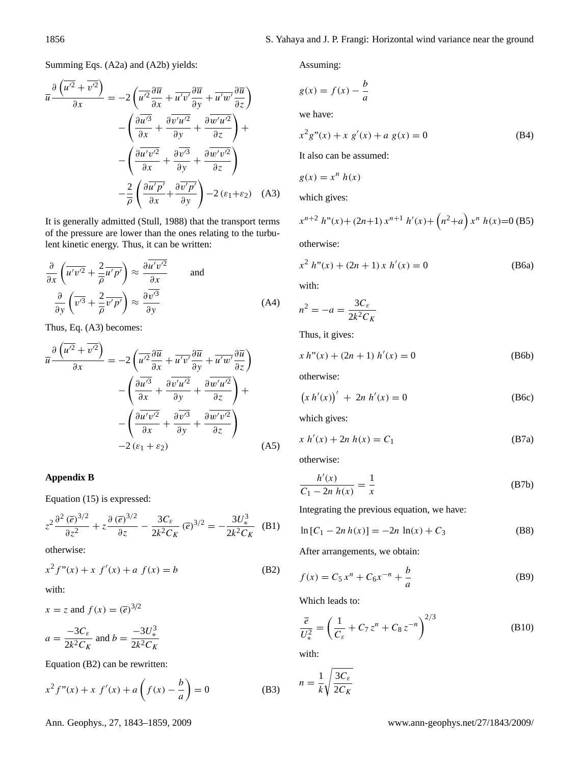Summing Eqs. (A2a) and (A2b) yields:

$$
\overline{u} \frac{\partial \left(\overline{u'^2} + \overline{v'^2}\right)}{\partial x} = -2 \left(\overline{u'^2} \frac{\partial \overline{u}}{\partial x} + \overline{u'v'} \frac{\partial \overline{u}}{\partial y} + \overline{u'w'} \frac{\partial \overline{u}}{\partial z}\right) \n- \left(\frac{\partial \overline{u'^3}}{\partial x} + \frac{\partial \overline{v'u'^2}}{\partial y} + \frac{\partial \overline{w'u'^2}}{\partial z}\right) + \n- \left(\frac{\partial \overline{u'v'^2}}{\partial x} + \frac{\partial \overline{v'^3}}{\partial y} + \frac{\partial \overline{w'v'^2}}{\partial z}\right) \n- \frac{2}{\overline{\rho}} \left(\frac{\partial \overline{u'p'}}{\partial x} + \frac{\partial \overline{v'p'}}{\partial y}\right) - 2\left(\varepsilon_1 + \varepsilon_2\right) \quad (A3)
$$

It is generally admitted (Stull, 1988) that the transport terms of the pressure are lower than the ones relating to the turbulent kinetic energy. Thus, it can be written:

$$
\frac{\partial}{\partial x} \left( \overline{u'v'^2} + \frac{2}{\overline{\rho}} \overline{u'p'} \right) \approx \frac{\partial \overline{u'v'^2}}{\partial x} \quad \text{and} \quad \frac{\partial}{\partial y} \left( \overline{v'^3} + \frac{2}{\overline{\rho}} \overline{v'p'} \right) \approx \frac{\partial \overline{v'^3}}{\partial y} \quad \text{(A4)}
$$

Thus, Eq. (A3) becomes:

$$
\overline{u} \frac{\partial \left(\overline{u'^2} + \overline{v'^2}\right)}{\partial x} = -2 \left(\overline{u'^2} \frac{\partial \overline{u}}{\partial x} + \overline{u'v'} \frac{\partial \overline{u}}{\partial y} + \overline{u'w'} \frac{\partial \overline{u}}{\partial z}\right) \n- \left(\frac{\partial \overline{u'^3}}{\partial x} + \frac{\partial \overline{v'}u'^2}{\partial y} + \frac{\partial \overline{w'}u'^2}{\partial z}\right) + \n- \left(\frac{\partial \overline{u'v'^2}}{\partial x} + \frac{\partial \overline{v'^3}}{\partial y} + \frac{\partial \overline{w'}v'^2}{\partial z}\right) \n-2(\varepsilon_1 + \varepsilon_2)
$$
\n(A5)

# **Appendix B**

Equation (15) is expressed:

$$
z^2 \frac{\partial^2 (\overline{e})^{3/2}}{\partial z^2} + z \frac{\partial (\overline{e})^{3/2}}{\partial z} - \frac{3C_{\varepsilon}}{2k^2 C_K} (\overline{e})^{3/2} = -\frac{3U_*^3}{2k^2 C_K} \quad (B1)
$$

otherwise:

$$
x^{2} f''(x) + x f'(x) + a f(x) = b
$$
 (B2)

with:

$$
x = z \text{ and } f(x) = (\overline{e})^{3/2}
$$

$$
a = \frac{-3C_{\varepsilon}}{2k^2 C_K} \text{ and } b = \frac{-3U_{*}^3}{2k^2 C_K}
$$

Equation (B2) can be rewritten:

$$
x^{2} f''(x) + x f'(x) + a \left( f(x) - \frac{b}{a} \right) = 0
$$
 (B3)

Assuming:

$$
g(x) = f(x) - \frac{b}{a}
$$
  
we have:

$$
x^{2}g''(x) + x g'(x) + a g(x) = 0
$$
 (B4)

It also can be assumed:

$$
g(x) = x^n h(x)
$$

which gives:

$$
x^{n+2} h''(x) + (2n+1) x^{n+1} h'(x) + (n^2+a) x^n h(x) = 0
$$
 (B5)

otherwise:

$$
x^{2} h''(x) + (2n + 1) x h'(x) = 0
$$
 (B6a)

with:

$$
n^2 = -a = \frac{3C_{\varepsilon}}{2k^2 C_K}
$$

Thus, it gives:

$$
x h''(x) + (2n + 1) h'(x) = 0
$$
 (B6b)

otherwise:

$$
(x h'(x))' + 2n h'(x) = 0
$$
 (B6c)

which gives:

$$
x h'(x) + 2n h(x) = C_1
$$
 (B7a)

otherwise:

$$
\frac{h'(x)}{C_1 - 2n \, h(x)} = \frac{1}{x}
$$
 (B7b)

Integrating the previous equation, we have:

$$
\ln\left[C_1 - 2n h(x)\right] = -2n \ln(x) + C_3 \tag{B8}
$$

After arrangements, we obtain:

$$
f(x) = C_5 x^n + C_6 x^{-n} + \frac{b}{a}
$$
 (B9)

Which leads to:

$$
\frac{\overline{e}}{U_*^2} = \left(\frac{1}{C_{\varepsilon}} + C_7 z^n + C_8 z^{-n}\right)^{2/3}
$$
 (B10)

with:

$$
n = \frac{1}{k} \sqrt{\frac{3C_{\varepsilon}}{2C_K}}
$$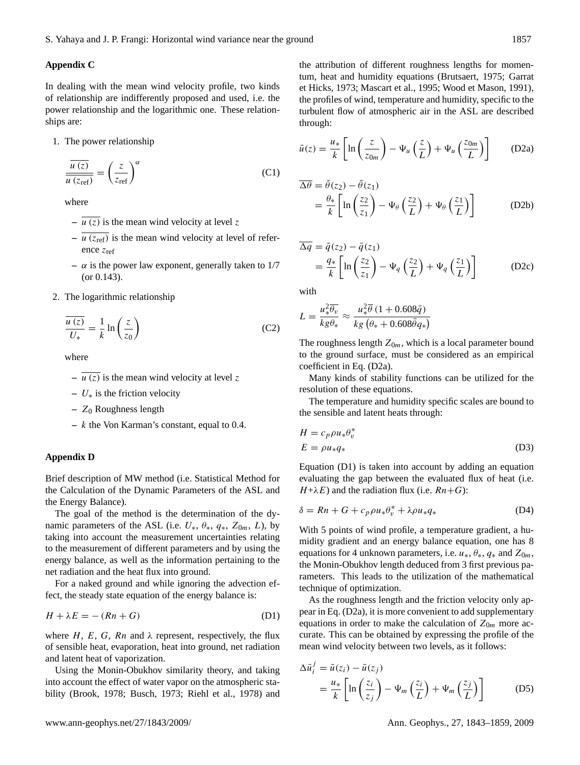# **Appendix C**

In dealing with the mean wind velocity profile, two kinds of relationship are indifferently proposed and used, i.e. the power relationship and the logarithmic one. These relationships are:

1. The power relationship

$$
\frac{\overline{u(z)}}{\overline{u(z_{\text{ref}})}} = \left(\frac{z}{z_{\text{ref}}}\right)^{\alpha} \tag{C1}
$$

where

- $-\overline{u(z)}$  is the mean wind velocity at level z
- $-\overline{u(z_{ref})}$  is the mean wind velocity at level of reference zref
- $-\alpha$  is the power law exponent, generally taken to 1/7 (or 0.143).
- 2. The logarithmic relationship

$$
\frac{\overline{u(z)}}{U_*} = \frac{1}{k} \ln\left(\frac{z}{z_0}\right) \tag{C2}
$$

where

- $u (z)$  is the mean wind velocity at level z
- **–** U∗ is the friction velocity
- **–** Z<sup>0</sup> Roughness length
- **–** k the Von Karman's constant, equal to 0.4.

#### **Appendix D**

Brief description of MW method (i.e. Statistical Method for the Calculation of the Dynamic Parameters of the ASL and the Energy Balance).

The goal of the method is the determination of the dynamic parameters of the ASL (i.e.  $U_*$ ,  $\theta_*$ ,  $q_*$ ,  $Z_{0m}$ ,  $L$ ), by taking into account the measurement uncertainties relating to the measurement of different parameters and by using the energy balance, as well as the information pertaining to the net radiation and the heat flux into ground.

For a naked ground and while ignoring the advection effect, the steady state equation of the energy balance is:

$$
H + \lambda E = -(Rn + G) \tag{D1}
$$

where  $H$ ,  $E$ ,  $G$ ,  $Rn$  and  $\lambda$  represent, respectively, the flux of sensible heat, evaporation, heat into ground, net radiation and latent heat of vaporization.

Using the Monin-Obukhov similarity theory, and taking into account the effect of water vapor on the atmospheric stability (Brook, 1978; Busch, 1973; Riehl et al., 1978) and the attribution of different roughness lengths for momentum, heat and humidity equations (Brutsaert, 1975; Garrat et Hicks, 1973; Mascart et al., 1995; Wood et Mason, 1991), the profiles of wind, temperature and humidity, specific to the turbulent flow of atmospheric air in the ASL are described through:

$$
\bar{u}(z) = \frac{u_*}{k} \left[ \ln \left( \frac{z}{z_{0m}} \right) - \Psi_u \left( \frac{z}{L} \right) + \Psi_u \left( \frac{z_{0m}}{L} \right) \right]
$$
 (D2a)

$$
\overline{\Delta \theta} = \overline{\theta}(z_2) - \overline{\theta}(z_1)
$$
  
=  $\frac{\theta_*}{k} \left[ \ln \left( \frac{z_2}{z_1} \right) - \Psi_{\theta} \left( \frac{z_2}{L} \right) + \Psi_{\theta} \left( \frac{z_1}{L} \right) \right]$  (D2b)

$$
\overline{\Delta q} = \overline{q}(z_2) - \overline{q}(z_1)
$$
  
=  $\frac{q_*}{k} \left[ \ln \left( \frac{z_2}{z_1} \right) - \Psi_q \left( \frac{z_2}{L} \right) + \Psi_q \left( \frac{z_1}{L} \right) \right]$  (D2c)

with

$$
L = \frac{u_*^2 \overline{\theta_v}}{kg \theta_*} \approx \frac{u_*^2 \overline{\theta} (1 + 0.608 \overline{q})}{kg (\theta_* + 0.608 \overline{\theta} q_*)}
$$

The roughness length  $Z_{0m}$ , which is a local parameter bound to the ground surface, must be considered as an empirical coefficient in Eq. (D2a).

Many kinds of stability functions can be utilized for the resolution of these equations.

The temperature and humidity specific scales are bound to the sensible and latent heats through:

$$
H = c_p \rho u_* \theta_v^*
$$
  
\n
$$
E = \rho u_* q_*
$$
\n(D3)

Equation (D1) is taken into account by adding an equation evaluating the gap between the evaluated flux of heat (i.e.  $H+\lambda E$ ) and the radiation flux (i.e.  $Rn+G$ ):

$$
\delta = Rn + G + c_p \rho u_* \theta_v^* + \lambda \rho u_* q_* \tag{D4}
$$

With 5 points of wind profile, a temperature gradient, a humidity gradient and an energy balance equation, one has 8 equations for 4 unknown parameters, i.e.  $u_*, \theta_*, q_*$  and  $Z_{0m}$ , the Monin-Obukhov length deduced from 3 first previous parameters. This leads to the utilization of the mathematical technique of optimization.

As the roughness length and the friction velocity only appear in Eq. (D2a), it is more convenient to add supplementary equations in order to make the calculation of  $Z_{0m}$  more accurate. This can be obtained by expressing the profile of the mean wind velocity between two levels, as it follows:

$$
\Delta \bar{u}_i^j = \bar{u}(z_i) - \bar{u}(z_j)
$$
  
=  $\frac{u_*}{k} \left[ \ln \left( \frac{z_i}{z_j} \right) - \Psi_m \left( \frac{z_i}{L} \right) + \Psi_m \left( \frac{z_j}{L} \right) \right]$  (D5)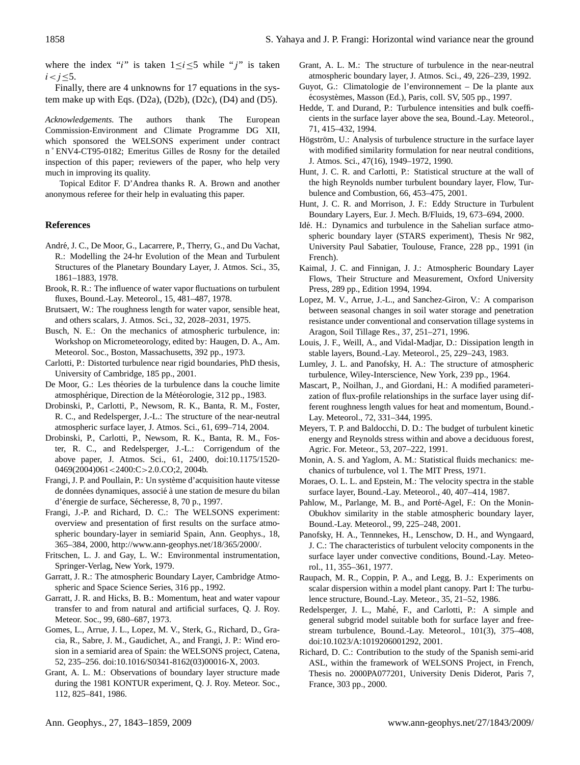where the index "i" is taken  $1 \le i \le 5$  while "j" is taken  $i < j < 5$ .

Finally, there are 4 unknowns for 17 equations in the system make up with Eqs. (D2a), (D2b), (D2c), (D4) and (D5).

*Acknowledgements.* The authors thank The European Commission-Environment and Climate Programme DG XII, which sponsored the WELSONS experiment under contract n ˚ ENV4-CT95-0182; Emeritus Gilles de Rosny for the detailed inspection of this paper; reviewers of the paper, who help very much in improving its quality.

Topical Editor F. D'Andrea thanks R. A. Brown and another anonymous referee for their help in evaluating this paper.

# **References**

- André, J. C., De Moor, G., Lacarrere, P., Therry, G., and Du Vachat, R.: Modelling the 24-hr Evolution of the Mean and Turbulent Structures of the Planetary Boundary Layer, J. Atmos. Sci., 35, 1861–1883, 1978.
- Brook, R. R.: The influence of water vapor fluctuations on turbulent fluxes, Bound.-Lay. Meteorol., 15, 481–487, 1978.
- Brutsaert, W.: The roughness length for water vapor, sensible heat, and others scalars, J. Atmos. Sci., 32, 2028–2031, 1975.
- Busch, N. E.: On the mechanics of atmospheric turbulence, in: Workshop on Micrometeorology, edited by: Haugen, D. A., Am. Meteorol. Soc., Boston, Massachusetts, 392 pp., 1973.
- Carlotti, P.: Distorted turbulence near rigid boundaries, PhD thesis, University of Cambridge, 185 pp., 2001.
- De Moor, G.: Les théories de la turbulence dans la couche limite atmosphérique, Direction de la Météorologie, 312 pp., 1983.
- Drobinski, P., Carlotti, P., Newsom, R. K., Banta, R. M., Foster, R. C., and Redelsperger, J.-L.: The structure of the near-neutral atmospheric surface layer, J. Atmos. Sci., 61, 699–714, 2004.
- Drobinski, P., Carlotti, P., Newsom, R. K., Banta, R. M., Foster, R. C., and Redelsperger, J.-L.: Corrigendum of the above paper, J. Atmos. Sci., 61, 2400, doi:10.1175/1520- 0469(2004)061<2400:C>2.0.CO;2, 2004b.
- Frangi, J. P. and Poullain, P.: Un systeme d'acquisition haute vitesse ` de données dynamiques, associé à une station de mesure du bilan d'énergie de surface, Sécheresse, 8, 70 p., 1997.
- Frangi, J.-P. and Richard, D. C.: The WELSONS experiment: overview and presentation of first results on the surface atmospheric boundary-layer in semiarid Spain, Ann. Geophys., 18, 365–384, 2000, [http://www.ann-geophys.net/18/365/2000/.](http://www.ann-geophys.net/18/365/2000/)
- Fritschen, L. J. and Gay, L. W.: Environmental instrumentation, Springer-Verlag, New York, 1979.
- Garratt, J. R.: The atmospheric Boundary Layer, Cambridge Atmospheric and Space Science Series, 316 pp., 1992.
- Garratt, J. R. and Hicks, B. B.: Momentum, heat and water vapour transfer to and from natural and artificial surfaces, Q. J. Roy. Meteor. Soc., 99, 680–687, 1973.
- Gomes, L., Arrue, J. L., Lopez, M. V., Sterk, G., Richard, D., Gracia, R., Sabre, J. M., Gaudichet, A., and Frangi, J. P.: Wind erosion in a semiarid area of Spain: the WELSONS project, Catena, 52, 235–256. doi:10.1016/S0341-8162(03)00016-X, 2003.
- Grant, A. L. M.: Observations of boundary layer structure made during the 1981 KONTUR experiment, Q. J. Roy. Meteor. Soc., 112, 825–841, 1986.
- Grant, A. L. M.: The structure of turbulence in the near-neutral atmospheric boundary layer, J. Atmos. Sci., 49, 226–239, 1992.
- Guyot, G.: Climatologie de l'environnement De la plante aux écosystèmes, Masson (Ed.), Paris, coll. SV, 505 pp., 1997.
- Hedde, T. and Durand, P.: Turbulence intensities and bulk coefficients in the surface layer above the sea, Bound.-Lay. Meteorol., 71, 415–432, 1994.
- Högström, U.: Analysis of turbulence structure in the surface layer with modified similarity formulation for near neutral conditions, J. Atmos. Sci., 47(16), 1949–1972, 1990.
- Hunt, J. C. R. and Carlotti, P.: Statistical structure at the wall of the high Reynolds number turbulent boundary layer, Flow, Turbulence and Combustion, 66, 453–475, 2001.
- Hunt, J. C. R. and Morrison, J. F.: Eddy Structure in Turbulent Boundary Layers, Eur. J. Mech. B/Fluids, 19, 673–694, 2000.
- Idé. H.: Dynamics and turbulence in the Sahelian surface atmospheric boundary layer (STARS experiment), Thesis Nr 982, University Paul Sabatier, Toulouse, France, 228 pp., 1991 (in French).
- Kaimal, J. C. and Finnigan, J. J.: Atmospheric Boundary Layer Flows, Their Structure and Measurement, Oxford University Press, 289 pp., Edition 1994, 1994.
- Lopez, M. V., Arrue, J.-L., and Sanchez-Giron, V.: A comparison between seasonal changes in soil water storage and penetration resistance under conventional and conservation tillage systems in Aragon, Soil Tillage Res., 37, 251–271, 1996.
- Louis, J. F., Weill, A., and Vidal-Madjar, D.: Dissipation length in stable layers, Bound.-Lay. Meteorol., 25, 229–243, 1983.
- Lumley, J. L. and Panofsky, H. A.: The structure of atmospheric turbulence, Wiley-Interscience, New York, 239 pp., 1964.
- Mascart, P., Noilhan, J., and Giordani, H.: A modified parameterization of flux-profile relationships in the surface layer using different roughness length values for heat and momentum, Bound.- Lay. Meteorol., 72, 331–344, 1995.
- Meyers, T. P. and Baldocchi, D. D.: The budget of turbulent kinetic energy and Reynolds stress within and above a deciduous forest, Agric. For. Meteor., 53, 207–222, 1991.
- Monin, A. S. and Yaglom, A. M.: Statistical fluids mechanics: mechanics of turbulence, vol 1. The MIT Press, 1971.
- Moraes, O. L. L. and Epstein, M.: The velocity spectra in the stable surface layer, Bound.-Lay. Meteorol., 40, 407–414, 1987.
- Pahlow, M., Parlange, M. B., and Porté-Agel, F.: On the Monin-Obukhov similarity in the stable atmospheric boundary layer, Bound.-Lay. Meteorol., 99, 225–248, 2001.
- Panofsky, H. A., Tennnekes, H., Lenschow, D. H., and Wyngaard, J. C.: The characteristics of turbulent velocity components in the surface layer under convective conditions, Bound.-Lay. Meteorol., 11, 355–361, 1977.
- Raupach, M. R., Coppin, P. A., and Legg, B. J.: Experiments on scalar dispersion within a model plant canopy. Part I: The turbulence structure, Bound.-Lay. Meteor., 35, 21–52, 1986.
- Redelsperger, J. L., Mahé, F., and Carlotti, P.: A simple and general subgrid model suitable both for surface layer and freestream turbulence, Bound.-Lay. Meteorol., 101(3), 375–408, doi:10.1023/A:1019206001292, 2001.
- Richard, D. C.: Contribution to the study of the Spanish semi-arid ASL, within the framework of WELSONS Project, in French, Thesis no. 2000PA077201, University Denis Diderot, Paris 7, France, 303 pp., 2000.